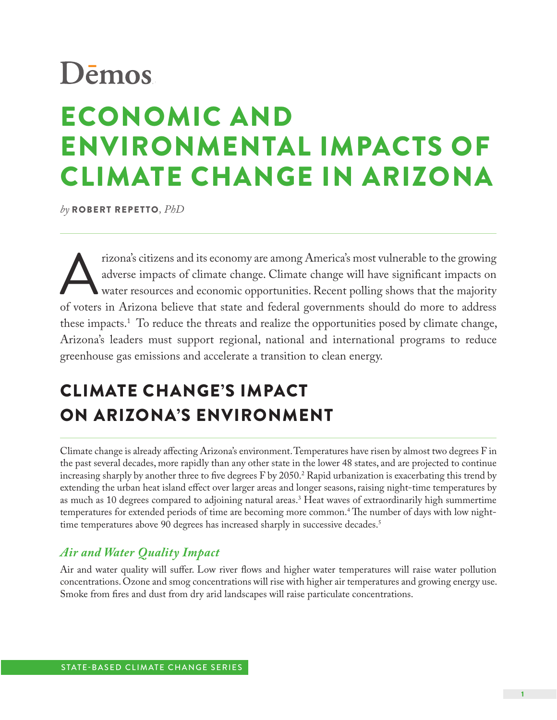# ECONOMIC AND ENVIRONMENTAL IMPACTS OF CLIMATE CHANGE IN ARIZONA **.org**

*by* ROBERT REPETTO*, PhD*

rizona's citizens and its economy are among America's most vulnerable to the growing<br>adverse impacts of climate change. Climate change will have significant impacts on<br>water resources and economic opportunities. Recent pol adverse impacts of climate change. Climate change will have significant impacts on water resources and economic opportunities. Recent polling shows that the majority of voters in Arizona believe that state and federal governments should do more to address these impacts.1 To reduce the threats and realize the opportunities posed by climate change, Arizona's leaders must support regional, national and international programs to reduce greenhouse gas emissions and accelerate a transition to clean energy.

# CLIMATE CHANGE'S IMPACT ON ARIZONA'S ENVIRONMENT

Climate change is already affecting Arizona's environment. Temperatures have risen by almost two degrees F in the past several decades, more rapidly than any other state in the lower 48 states, and are projected to continue increasing sharply by another three to five degrees F by 2050. $^2$  Rapid urbanization is exacerbating this trend by extending the urban heat island effect over larger areas and longer seasons, raising night-time temperatures by as much as 10 degrees compared to adjoining natural areas.3 Heat waves of extraordinarily high summertime temperatures for extended periods of time are becoming more common.4 The number of days with low nighttime temperatures above 90 degrees has increased sharply in successive decades.<sup>5</sup>

#### *Air and Water Quality Impact*

Air and water quality will suffer. Low river flows and higher water temperatures will raise water pollution concentrations. Ozone and smog concentrations will rise with higher air temperatures and growing energy use. Smoke from fires and dust from dry arid landscapes will raise particulate concentrations.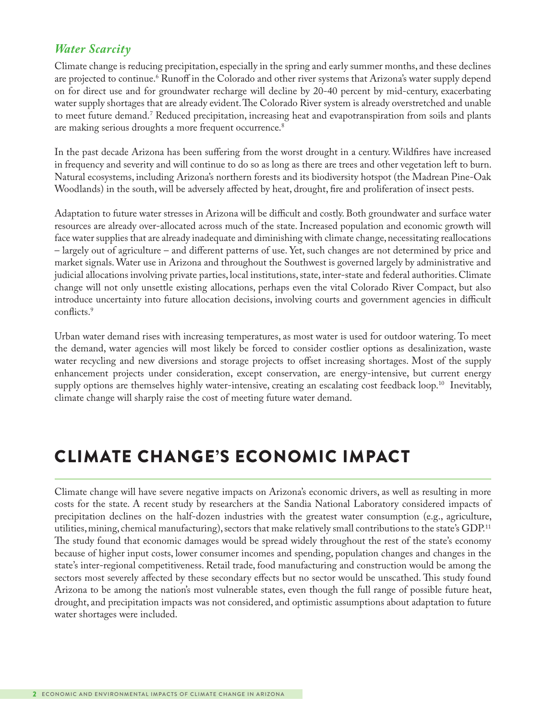### *Water Scarcity*

Climate change is reducing precipitation, especially in the spring and early summer months, and these declines are projected to continue.<sup>6</sup> Runoff in the Colorado and other river systems that Arizona's water supply depend on for direct use and for groundwater recharge will decline by 20-40 percent by mid-century, exacerbating water supply shortages that are already evident. The Colorado River system is already overstretched and unable to meet future demand.7 Reduced precipitation, increasing heat and evapotranspiration from soils and plants are making serious droughts a more frequent occurrence.<sup>8</sup>

In the past decade Arizona has been suffering from the worst drought in a century. Wildfires have increased in frequency and severity and will continue to do so as long as there are trees and other vegetation left to burn. Natural ecosystems, including Arizona's northern forests and its biodiversity hotspot (the Madrean Pine-Oak Woodlands) in the south, will be adversely affected by heat, drought, fire and proliferation of insect pests.

Adaptation to future water stresses in Arizona will be difficult and costly. Both groundwater and surface water resources are already over-allocated across much of the state. Increased population and economic growth will face water supplies that are already inadequate and diminishing with climate change, necessitating reallocations – largely out of agriculture – and different patterns of use. Yet, such changes are not determined by price and market signals. Water use in Arizona and throughout the Southwest is governed largely by administrative and judicial allocations involving private parties, local institutions, state, inter-state and federal authorities. Climate change will not only unsettle existing allocations, perhaps even the vital Colorado River Compact, but also introduce uncertainty into future allocation decisions, involving courts and government agencies in difficult conflicts.<sup>9</sup>

Urban water demand rises with increasing temperatures, as most water is used for outdoor watering. To meet the demand, water agencies will most likely be forced to consider costlier options as desalinization, waste water recycling and new diversions and storage projects to offset increasing shortages. Most of the supply enhancement projects under consideration, except conservation, are energy-intensive, but current energy supply options are themselves highly water-intensive, creating an escalating cost feedback loop.<sup>10</sup> Inevitably, climate change will sharply raise the cost of meeting future water demand.

# CLIMATE CHANGE'S ECONOMIC IMPACT

Climate change will have severe negative impacts on Arizona's economic drivers, as well as resulting in more costs for the state. A recent study by researchers at the Sandia National Laboratory considered impacts of precipitation declines on the half-dozen industries with the greatest water consumption (e.g., agriculture, utilities, mining, chemical manufacturing), sectors that make relatively small contributions to the state's GDP.11 The study found that economic damages would be spread widely throughout the rest of the state's economy because of higher input costs, lower consumer incomes and spending, population changes and changes in the state's inter-regional competitiveness. Retail trade, food manufacturing and construction would be among the sectors most severely affected by these secondary effects but no sector would be unscathed. This study found Arizona to be among the nation's most vulnerable states, even though the full range of possible future heat, drought, and precipitation impacts was not considered, and optimistic assumptions about adaptation to future water shortages were included.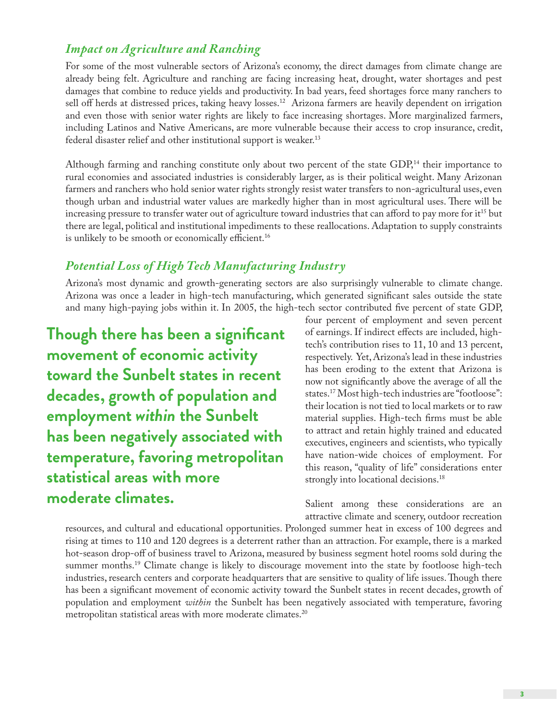### *Impact on Agriculture and Ranching*

For some of the most vulnerable sectors of Arizona's economy, the direct damages from climate change are already being felt. Agriculture and ranching are facing increasing heat, drought, water shortages and pest damages that combine to reduce yields and productivity. In bad years, feed shortages force many ranchers to sell off herds at distressed prices, taking heavy losses.<sup>12</sup> Arizona farmers are heavily dependent on irrigation and even those with senior water rights are likely to face increasing shortages. More marginalized farmers, including Latinos and Native Americans, are more vulnerable because their access to crop insurance, credit, federal disaster relief and other institutional support is weaker.<sup>13</sup>

Although farming and ranching constitute only about two percent of the state GDP,<sup>14</sup> their importance to rural economies and associated industries is considerably larger, as is their political weight. Many Arizonan farmers and ranchers who hold senior water rights strongly resist water transfers to non-agricultural uses, even though urban and industrial water values are markedly higher than in most agricultural uses. There will be increasing pressure to transfer water out of agriculture toward industries that can afford to pay more for  $it^{15}$  but there are legal, political and institutional impediments to these reallocations. Adaptation to supply constraints is unlikely to be smooth or economically efficient.<sup>16</sup>

### *Potential Loss of High Tech Manufacturing Industry*

Arizona's most dynamic and growth-generating sectors are also surprisingly vulnerable to climate change. Arizona was once a leader in high-tech manufacturing, which generated significant sales outside the state and many high-paying jobs within it. In 2005, the high-tech sector contributed five percent of state GDP,

**Though there has been a significant movement of economic activity toward the Sunbelt states in recent decades, growth of population and employment** *within* **the Sunbelt has been negatively associated with temperature, favoring metropolitan statistical areas with more moderate climates.**

four percent of employment and seven percent of earnings. If indirect effects are included, hightech's contribution rises to 11, 10 and 13 percent, respectively. Yet, Arizona's lead in these industries has been eroding to the extent that Arizona is now not significantly above the average of all the states.17 Most high-tech industries are "footloose": their location is not tied to local markets or to raw material supplies. High-tech firms must be able to attract and retain highly trained and educated executives, engineers and scientists, who typically have nation-wide choices of employment. For this reason, "quality of life" considerations enter strongly into locational decisions.<sup>18</sup>

Salient among these considerations are an attractive climate and scenery, outdoor recreation

resources, and cultural and educational opportunities. Prolonged summer heat in excess of 100 degrees and rising at times to 110 and 120 degrees is a deterrent rather than an attraction. For example, there is a marked hot-season drop-off of business travel to Arizona, measured by business segment hotel rooms sold during the summer months.<sup>19</sup> Climate change is likely to discourage movement into the state by footloose high-tech industries, research centers and corporate headquarters that are sensitive to quality of life issues. Though there has been a significant movement of economic activity toward the Sunbelt states in recent decades, growth of population and employment *within* the Sunbelt has been negatively associated with temperature, favoring metropolitan statistical areas with more moderate climates.20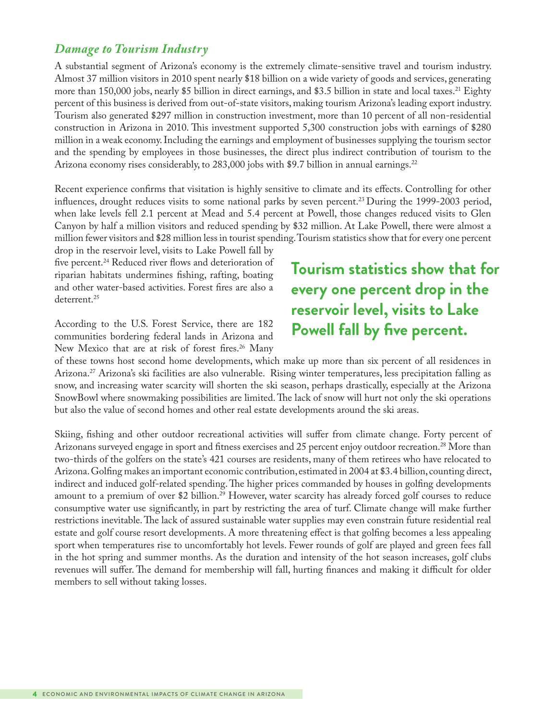#### *Damage to Tourism Industry*

A substantial segment of Arizona's economy is the extremely climate-sensitive travel and tourism industry. Almost 37 million visitors in 2010 spent nearly \$18 billion on a wide variety of goods and services, generating more than 150,000 jobs, nearly \$5 billion in direct earnings, and \$3.5 billion in state and local taxes.<sup>21</sup> Eighty percent of this business is derived from out-of-state visitors, making tourism Arizona's leading export industry. Tourism also generated \$297 million in construction investment, more than 10 percent of all non-residential construction in Arizona in 2010. This investment supported 5,300 construction jobs with earnings of \$280 million in a weak economy. Including the earnings and employment of businesses supplying the tourism sector and the spending by employees in those businesses, the direct plus indirect contribution of tourism to the Arizona economy rises considerably, to 283,000 jobs with \$9.7 billion in annual earnings.<sup>22</sup>

Recent experience confirms that visitation is highly sensitive to climate and its effects. Controlling for other influences, drought reduces visits to some national parks by seven percent.<sup>23</sup> During the 1999-2003 period, when lake levels fell 2.1 percent at Mead and 5.4 percent at Powell, those changes reduced visits to Glen Canyon by half a million visitors and reduced spending by \$32 million. At Lake Powell, there were almost a million fewer visitors and \$28 million less in tourist spending. Tourism statistics show that for every one percent

drop in the reservoir level, visits to Lake Powell fall by five percent.<sup>24</sup> Reduced river flows and deterioration of riparian habitats undermines fishing, rafting, boating and other water-based activities. Forest fires are also a deterrent.<sup>25</sup>

According to the U.S. Forest Service, there are 182 communities bordering federal lands in Arizona and New Mexico that are at risk of forest fires.<sup>26</sup> Many

# **Tourism statistics show that for every one percent drop in the reservoir level, visits to Lake Powell fall by five percent.**

of these towns host second home developments, which make up more than six percent of all residences in Arizona.27 Arizona's ski facilities are also vulnerable. Rising winter temperatures, less precipitation falling as snow, and increasing water scarcity will shorten the ski season, perhaps drastically, especially at the Arizona SnowBowl where snowmaking possibilities are limited. The lack of snow will hurt not only the ski operations but also the value of second homes and other real estate developments around the ski areas.

Skiing, fishing and other outdoor recreational activities will suffer from climate change. Forty percent of Arizonans surveyed engage in sport and fitness exercises and 25 percent enjoy outdoor recreation.<sup>28</sup> More than two-thirds of the golfers on the state's 421 courses are residents, many of them retirees who have relocated to Arizona. Golfing makes an important economic contribution, estimated in 2004 at \$3.4 billion, counting direct, indirect and induced golf-related spending. The higher prices commanded by houses in golfing developments amount to a premium of over \$2 billion.<sup>29</sup> However, water scarcity has already forced golf courses to reduce consumptive water use significantly, in part by restricting the area of turf. Climate change will make further restrictions inevitable. The lack of assured sustainable water supplies may even constrain future residential real estate and golf course resort developments. A more threatening effect is that golfing becomes a less appealing sport when temperatures rise to uncomfortably hot levels. Fewer rounds of golf are played and green fees fall in the hot spring and summer months. As the duration and intensity of the hot season increases, golf clubs revenues will suffer. The demand for membership will fall, hurting finances and making it difficult for older members to sell without taking losses.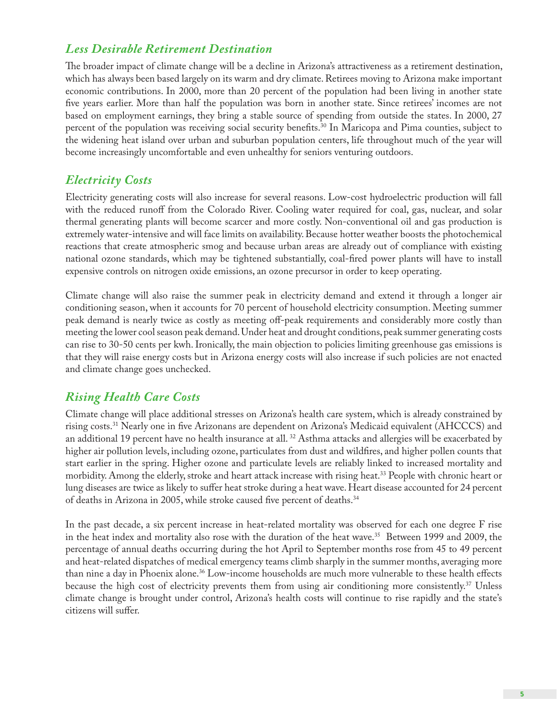### *Less Desirable Retirement Destination*

The broader impact of climate change will be a decline in Arizona's attractiveness as a retirement destination, which has always been based largely on its warm and dry climate. Retirees moving to Arizona make important economic contributions. In 2000, more than 20 percent of the population had been living in another state five years earlier. More than half the population was born in another state. Since retirees' incomes are not based on employment earnings, they bring a stable source of spending from outside the states. In 2000, 27 percent of the population was receiving social security benefits.30 In Maricopa and Pima counties, subject to the widening heat island over urban and suburban population centers, life throughout much of the year will become increasingly uncomfortable and even unhealthy for seniors venturing outdoors.

### *Electricity Costs*

Electricity generating costs will also increase for several reasons. Low-cost hydroelectric production will fall with the reduced runoff from the Colorado River. Cooling water required for coal, gas, nuclear, and solar thermal generating plants will become scarcer and more costly. Non-conventional oil and gas production is extremely water-intensive and will face limits on availability. Because hotter weather boosts the photochemical reactions that create atmospheric smog and because urban areas are already out of compliance with existing national ozone standards, which may be tightened substantially, coal-fired power plants will have to install expensive controls on nitrogen oxide emissions, an ozone precursor in order to keep operating.

Climate change will also raise the summer peak in electricity demand and extend it through a longer air conditioning season, when it accounts for 70 percent of household electricity consumption. Meeting summer peak demand is nearly twice as costly as meeting off-peak requirements and considerably more costly than meeting the lower cool season peak demand. Under heat and drought conditions, peak summer generating costs can rise to 30-50 cents per kwh. Ironically, the main objection to policies limiting greenhouse gas emissions is that they will raise energy costs but in Arizona energy costs will also increase if such policies are not enacted and climate change goes unchecked.

### *Rising Health Care Costs*

Climate change will place additional stresses on Arizona's health care system, which is already constrained by rising costs.31 Nearly one in five Arizonans are dependent on Arizona's Medicaid equivalent (AHCCCS) and an additional 19 percent have no health insurance at all.  $^{32}$  Asthma attacks and allergies will be exacerbated by higher air pollution levels, including ozone, particulates from dust and wildfires, and higher pollen counts that start earlier in the spring. Higher ozone and particulate levels are reliably linked to increased mortality and morbidity. Among the elderly, stroke and heart attack increase with rising heat.33 People with chronic heart or lung diseases are twice as likely to suffer heat stroke during a heat wave. Heart disease accounted for 24 percent of deaths in Arizona in 2005, while stroke caused five percent of deaths.<sup>34</sup>

In the past decade, a six percent increase in heat-related mortality was observed for each one degree F rise in the heat index and mortality also rose with the duration of the heat wave.<sup>35</sup> Between 1999 and 2009, the percentage of annual deaths occurring during the hot April to September months rose from 45 to 49 percent and heat-related dispatches of medical emergency teams climb sharply in the summer months, averaging more than nine a day in Phoenix alone.36 Low-income households are much more vulnerable to these health effects because the high cost of electricity prevents them from using air conditioning more consistently.<sup>37</sup> Unless climate change is brought under control, Arizona's health costs will continue to rise rapidly and the state's citizens will suffer.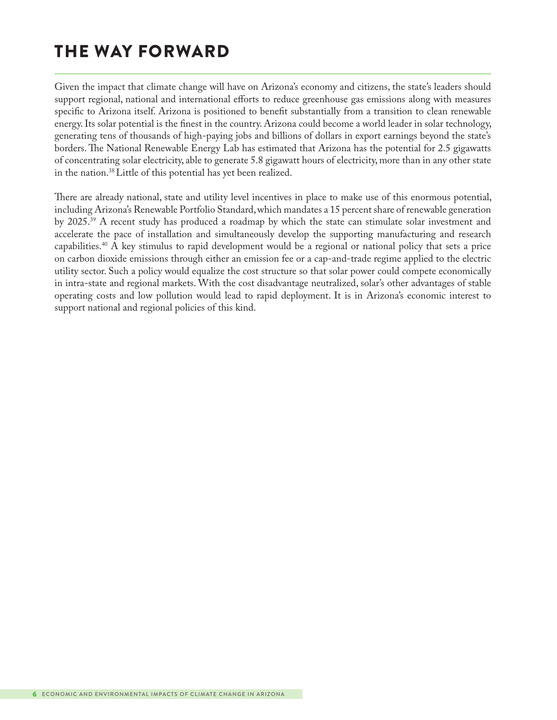# THE WAY FORWARD

Given the impact that climate change will have on Arizona's economy and citizens, the state's leaders should support regional, national and international efforts to reduce greenhouse gas emissions along with measures specific to Arizona itself. Arizona is positioned to benefit substantially from a transition to clean renewable energy. Its solar potential is the finest in the country. Arizona could become a world leader in solar technology, generating tens of thousands of high-paying jobs and billions of dollars in export earnings beyond the state's borders. The National Renewable Energy Lab has estimated that Arizona has the potential for 2.5 gigawatts of concentrating solar electricity, able to generate 5.8 gigawatt hours of electricity, more than in any other state in the nation.38 Little of this potential has yet been realized.

There are already national, state and utility level incentives in place to make use of this enormous potential, including Arizona's Renewable Portfolio Standard, which mandates a 15 percent share of renewable generation by 2025.39 A recent study has produced a roadmap by which the state can stimulate solar investment and accelerate the pace of installation and simultaneously develop the supporting manufacturing and research capabilities.40 A key stimulus to rapid development would be a regional or national policy that sets a price on carbon dioxide emissions through either an emission fee or a cap-and-trade regime applied to the electric utility sector. Such a policy would equalize the cost structure so that solar power could compete economically in intra-state and regional markets. With the cost disadvantage neutralized, solar's other advantages of stable operating costs and low pollution would lead to rapid deployment. It is in Arizona's economic interest to support national and regional policies of this kind.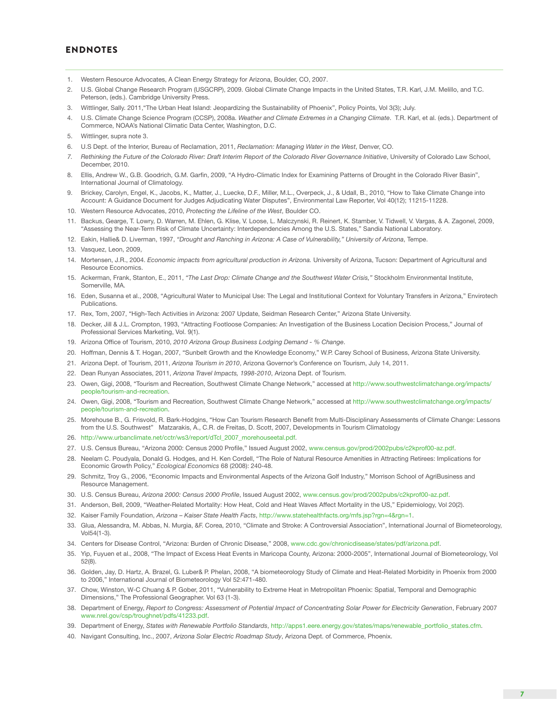#### ENDNOTES

- 1. Western Resource Advocates, A Clean Energy Strategy for Arizona, Boulder, CO, 2007.
- 2. U.S. Global Change Research Program (USGCRP), 2009. Global Climate Change Impacts in the United States, T.R. Karl, J.M. Melillo, and T.C. Peterson, (eds.). Cambridge University Press.
- 3. Wittlinger, Sally. 2011,"The Urban Heat Island: Jeopardizing the Sustainability of Phoenix", Policy Points, Vol 3(3); July.
- 4. U.S. Climate Change Science Program (CCSP), 2008a. *Weather and Climate Extremes in a Changing Climate*. T.R. Karl, et al. (eds.). Department of Commerce, NOAA's National Climatic Data Center, Washington, D.C.
- 5. Wittlinger, supra note 3.
- 6. U.S Dept. of the Interior, Bureau of Reclamation, 2011, *Reclamation: Managing Water in the West*, Denver, CO.
- 7. Rethinking the Future of the Colorado River: Draft Interim Report of the Colorado River Governance Initiative, University of Colorado Law School, December, 2010.
- 8. Ellis, Andrew W., G.B. Goodrich, G.M. Garfin, 2009, "A Hydro-Climatic Index for Examining Patterns of Drought in the Colorado River Basin", International Journal of Climatology.
- 9. Brickey, Carolyn, Engel, K., Jacobs, K., Matter, J., Luecke, D.F., Miller, M.L., Overpeck, J., & Udall, B., 2010, "How to Take Climate Change into Account: A Guidance Document for Judges Adjudicating Water Disputes", Environmental Law Reporter, Vol 40(12); 11215-11228.
- 10. Western Resource Advocates, 2010, *Protecting the Lifeline of the West*, Boulder CO.
- 11. Backus, Gearge, T. Lowry, D. Warren, M. Ehlen, G. Klise, V. Loose, L. Malczynski, R. Reinert, K. Stamber, V. Tidwell, V. Vargas, & A. Zagonel, 2009, "Assessing the Near-Term Risk of Climate Uncertainty: Interdependencies Among the U.S. States," Sandia National Laboratory.
- 12. Eakin, Hallie& D. Liverman, 1997, *"Drought and Ranching in Arizona: A Case of Vulnerability," University of Arizona*, Tempe.
- 13. Vasquez, Leon, 2009,
- 14. Mortensen, J.R., 2004. *Economic impacts from agricultural production in Arizona*. University of Arizona, Tucson: Department of Agricultural and Resource Economics.
- 15. Ackerman, Frank, Stanton, E., 2011, *"The Last Drop: Climate Change and the Southwest Water Crisis,"* Stockholm Environmental Institute, Somerville, MA.
- 16. Eden, Susanna et al., 2008, "Agricultural Water to Municipal Use: The Legal and Institutional Context for Voluntary Transfers in Arizona," Envirotech Publications.
- 17. Rex, Tom, 2007, "High-Tech Activities in Arizona: 2007 Update, Seidman Research Center," Arizona State University.
- 18. Decker, Jill & J.L. Crompton, 1993, "Attracting Footloose Companies: An Investigation of the Business Location Decision Process," Journal of Professional Services Marketing, Vol. 9(1).
- 19. Arizona Office of Tourism, 2010, *2010 Arizona Group Business Lodging Demand % Change*.
- 20. Hoffman, Dennis & T. Hogan, 2007, "Sunbelt Growth and the Knowledge Economy," W.P. Carey School of Business, Arizona State University.
- 21. Arizona Dept. of Tourism, 2011, *Arizona Tourism in 2010*, Arizona Governor's Conference on Tourism, July 14, 2011.
- 22. Dean Runyan Associates, 2011, *Arizona Travel Impacts, 1998-2010*, Arizona Dept. of Tourism.
- 23. Owen, Gigi, 2008, "Tourism and Recreation, Southwest Climate Change Network," accessed at [http://www.southwestclimatchange.org/impacts/](http://www.southwestclimatchange.org/impacts/people/tourism-and-recreation) [people/tourism-and-recreation](http://www.southwestclimatchange.org/impacts/people/tourism-and-recreation).
- 24. Owen, Gigi, 2008, "Tourism and Recreation, Southwest Climate Change Network," accessed at [http://www.southwestclimatchange.org/impacts/](http://www.southwestclimatchange.org/impacts/people/tourism-and-recreation) [people/tourism-and-recreation](http://www.southwestclimatchange.org/impacts/people/tourism-and-recreation).
- 25. Morehouse B., G. Frisvold, R. Bark-Hodgins, "How Can Tourism Research Benefit from Multi-Disciplinary Assessments of Climate Change: Lessons from the U.S. Southwest" Matzarakis, A., C.R. de Freitas, D. Scott, 2007, Developments in Tourism Climatology
- 26. [http://www.urbanclimate.net/cctr/ws3/report/dTcl\\_2007\\_morehouseetal.pdf.](http://www.urbanclimate.net/cctr/ws3/report/dTcl_2007_morehouseetal.pdf)
- 27. U.S. Census Bureau, "Arizona 2000: Census 2000 Profile," Issued August 2002, <www.census.gov/prod/2002pubs/c2kprof00-az.pdf>.
- 28. Neelam C. Poudyala, Donald G. Hodges, and H. Ken Cordell, "The Role of Natural Resource Amenities in Attracting Retirees: Implications for Economic Growth Policy," *Ecological Economics* 68 (2008): 240-48.
- 29. Schmitz, Troy G., 2006, "Economic Impacts and Environmental Aspects of the Arizona Golf Industry," Morrison School of AgriBusiness and Resource Management.
- 30. U.S. Census Bureau, *Arizona 2000: Census 2000 Profile*, Issued August 2002, <www.census.gov/prod/2002pubs/c2kprof00-az.pdf>.
- 31. Anderson, Bell, 2009, "Weather-Related Mortality: How Heat, Cold and Heat Waves Affect Mortality in the US," Epidemiology, Vol 20(2).
- 32. Kaiser Family Foundation, *Arizona Kaiser State Health Facts*,<http://www.statehealthfacts.org/mfs.jsp?rgn=4&rgn=1>.
- 33. Glua, Alessandra, M. Abbas, N. Murgia, &F. Corea, 2010, "Climate and Stroke: A Controversial Association", International Journal of Biometeorology, Vol54(1-3).
- 34. Centers for Disease Control, "Arizona: Burden of Chronic Disease," 2008, <www.cdc.gov/chronicdisease/states/pdf/arizona.pdf>.
- 35. Yip, Fuyuen et al., 2008, "The Impact of Excess Heat Events in Maricopa County, Arizona: 2000-2005", International Journal of Biometeorology, Vol 52(8).
- 36. Golden, Jay, D. Hartz, A. Brazel, G. Luber& P. Phelan, 2008, "A biometeorology Study of Climate and Heat-Related Morbidity in Phoenix from 2000 to 2006," International Journal of Biometeorology Vol 52:471-480.
- 37. Chow, Winston, W-C Chuang & P. Gober, 2011, "Vulnerability to Extreme Heat in Metropolitan Phoenix: Spatial, Temporal and Demographic Dimensions," The Professional Geographer. Vol 63 (1-3).
- 38. Department of Energy, *Report to Congress: Assessment of Potential Impact of Concentrating Solar Power for Electricity Generation*, February 2007 [www.nrel.gov/csp/troughnet/pdfs/41233.pdf.](www.nrel.gov/csp/troughnet/pdfs/41233.pdf)
- 39. Department of Energy, *States with Renewable Portfolio Standards*, [http://apps1.eere.energy.gov/states/maps/renewable\\_portfolio\\_states.cfm.](http://apps1.eere.energy.gov/states/maps/renewable_portfolio_states.cfm)
- 40. Navigant Consulting, Inc., 2007, *Arizona Solar Electric Roadmap Study*, Arizona Dept. of Commerce, Phoenix.